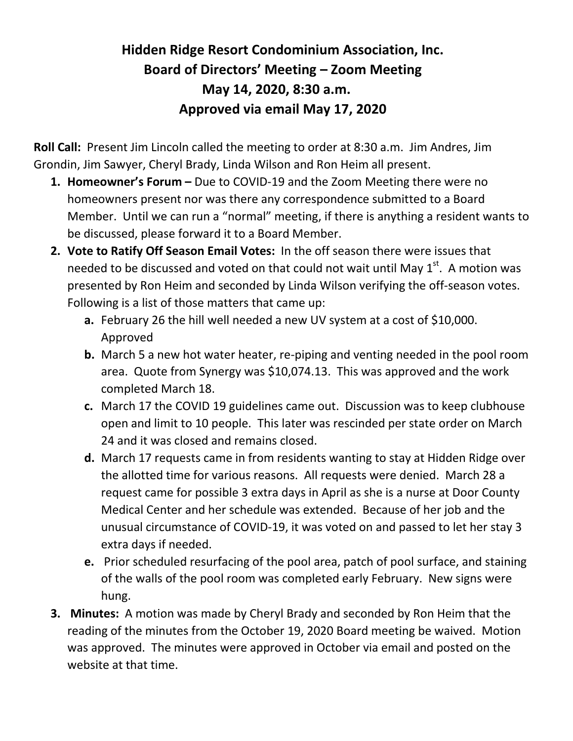# **Hidden Ridge Resort Condominium Association, Inc. Board of Directors' Meeting – Zoom Meeting May 14, 2020, 8:30 a.m. Approved via email May 17, 2020**

**Roll Call:** Present Jim Lincoln called the meeting to order at 8:30 a.m.Jim Andres, Jim Grondin, Jim Sawyer, Cheryl Brady, Linda Wilson and Ron Heim all present.

- **1. Homeowner's Forum –** Due to COVID-19 and the Zoom Meeting there were no homeowners present nor was there any correspondence submitted to a Board Member. Until we can run a "normal" meeting, if there is anything a resident wants to be discussed, please forward it to a Board Member.
- **2. Vote to Ratify Off Season Email Votes:** In the off season there were issues that needed to be discussed and voted on that could not wait until May  $1<sup>st</sup>$ . A motion was presented by Ron Heim and seconded by Linda Wilson verifying the off-season votes. Following is a list of those matters that came up:
	- **a.** February 26 the hill well needed a new UV system at a cost of \$10,000. Approved
	- **b.** March 5 a new hot water heater, re-piping and venting needed in the pool room area. Quote from Synergy was \$10,074.13. This was approved and the work completed March 18.
	- **c.** March 17 the COVID 19 guidelines came out. Discussion was to keep clubhouse open and limit to 10 people. This later was rescinded per state order on March 24 and it was closed and remains closed.
	- **d.** March 17 requests came in from residents wanting to stay at Hidden Ridge over the allotted time for various reasons. All requests were denied. March 28 a request came for possible 3 extra days in April as she is a nurse at Door County Medical Center and her schedule was extended. Because of her job and the unusual circumstance of COVID-19, it was voted on and passed to let her stay 3 extra days if needed.
	- **e.** Prior scheduled resurfacing of the pool area, patch of pool surface, and staining of the walls of the pool room was completed early February. New signs were hung.
- **3. Minutes:** A motion was made by Cheryl Brady and seconded by Ron Heim that the reading of the minutes from the October 19, 2020 Board meeting be waived. Motion was approved. The minutes were approved in October via email and posted on the website at that time.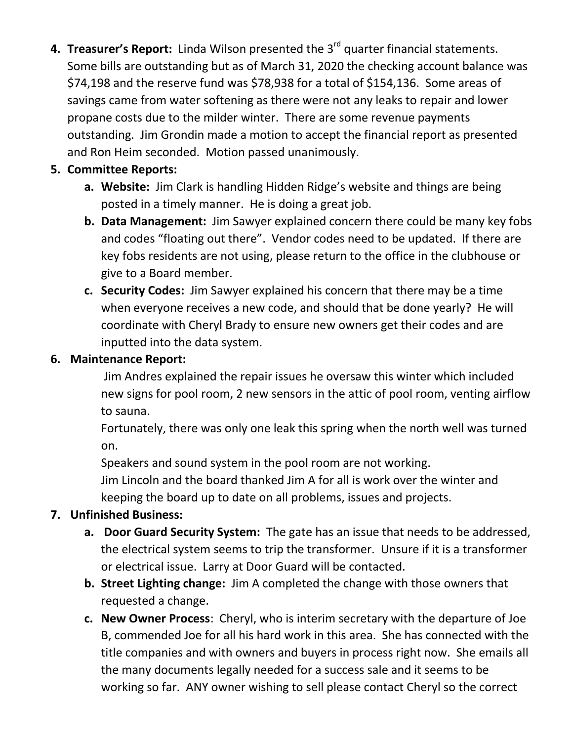**4. Treasurer's Report:** Linda Wilson presented the 3rd quarter financial statements. Some bills are outstanding but as of March 31, 2020 the checking account balance was \$74,198 and the reserve fund was \$78,938 for a total of \$154,136. Some areas of savings came from water softening as there were not any leaks to repair and lower propane costs due to the milder winter. There are some revenue payments outstanding. Jim Grondin made a motion to accept the financial report as presented and Ron Heim seconded. Motion passed unanimously.

## **5. Committee Reports:**

- **a. Website:** Jim Clark is handling Hidden Ridge's website and things are being posted in a timely manner. He is doing a great job.
- **b. Data Management:** Jim Sawyer explained concern there could be many key fobs and codes "floating out there". Vendor codes need to be updated. If there are key fobs residents are not using, please return to the office in the clubhouse or give to a Board member.
- **c. Security Codes:** Jim Sawyer explained his concern that there may be a time when everyone receives a new code, and should that be done yearly? He will coordinate with Cheryl Brady to ensure new owners get their codes and are inputted into the data system.

# **6. Maintenance Report:**

Jim Andres explained the repair issues he oversaw this winter which included new signs for pool room, 2 new sensors in the attic of pool room, venting airflow to sauna.

Fortunately, there was only one leak this spring when the north well was turned on.

Speakers and sound system in the pool room are not working. Jim Lincoln and the board thanked Jim A for all is work over the winter and keeping the board up to date on all problems, issues and projects.

# **7. Unfinished Business:**

- **a. Door Guard Security System:** The gate has an issue that needs to be addressed, the electrical system seems to trip the transformer. Unsure if it is a transformer or electrical issue. Larry at Door Guard will be contacted.
- **b. Street Lighting change:** Jim A completed the change with those owners that requested a change.
- **c. New Owner Process**: Cheryl, who is interim secretary with the departure of Joe B, commended Joe for all his hard work in this area. She has connected with the title companies and with owners and buyers in process right now. She emails all the many documents legally needed for a success sale and it seems to be working so far. ANY owner wishing to sell please contact Cheryl so the correct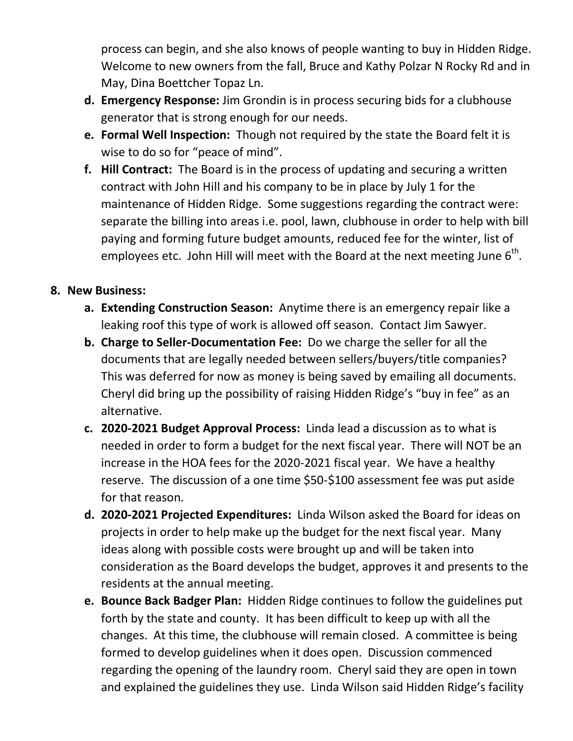process can begin, and she also knows of people wanting to buy in Hidden Ridge. Welcome to new owners from the fall, Bruce and Kathy Polzar N Rocky Rd and in May, Dina Boettcher Topaz Ln.

- **d. Emergency Response:** Jim Grondin is in process securing bids for a clubhouse generator that is strong enough for our needs.
- **e. Formal Well Inspection:** Though not required by the state the Board felt it is wise to do so for "peace of mind".
- **f. Hill Contract:** The Board is in the process of updating and securing a written contract with John Hill and his company to be in place by July 1 for the maintenance of Hidden Ridge. Some suggestions regarding the contract were: separate the billing into areas i.e. pool, lawn, clubhouse in order to help with bill paying and forming future budget amounts, reduced fee for the winter, list of employees etc. John Hill will meet with the Board at the next meeting June  $6^{\text{th}}$ .

#### **8. New Business:**

- **a. Extending Construction Season:** Anytime there is an emergency repair like a leaking roof this type of work is allowed off season. Contact Jim Sawyer.
- **b. Charge to Seller-Documentation Fee:** Do we charge the seller for all the documents that are legally needed between sellers/buyers/title companies? This was deferred for now as money is being saved by emailing all documents. Cheryl did bring up the possibility of raising Hidden Ridge's "buy in fee" as an alternative.
- **c. 2020-2021 Budget Approval Process:** Linda lead a discussion as to what is needed in order to form a budget for the next fiscal year. There will NOT be an increase in the HOA fees for the 2020-2021 fiscal year. We have a healthy reserve. The discussion of a one time \$50-\$100 assessment fee was put aside for that reason.
- **d. 2020-2021 Projected Expenditures:** Linda Wilson asked the Board for ideas on projects in order to help make up the budget for the next fiscal year. Many ideas along with possible costs were brought up and will be taken into consideration as the Board develops the budget, approves it and presents to the residents at the annual meeting.
- **e. Bounce Back Badger Plan:** Hidden Ridge continues to follow the guidelines put forth by the state and county. It has been difficult to keep up with all the changes. At this time, the clubhouse will remain closed. A committee is being formed to develop guidelines when it does open. Discussion commenced regarding the opening of the laundry room. Cheryl said they are open in town and explained the guidelines they use. Linda Wilson said Hidden Ridge's facility